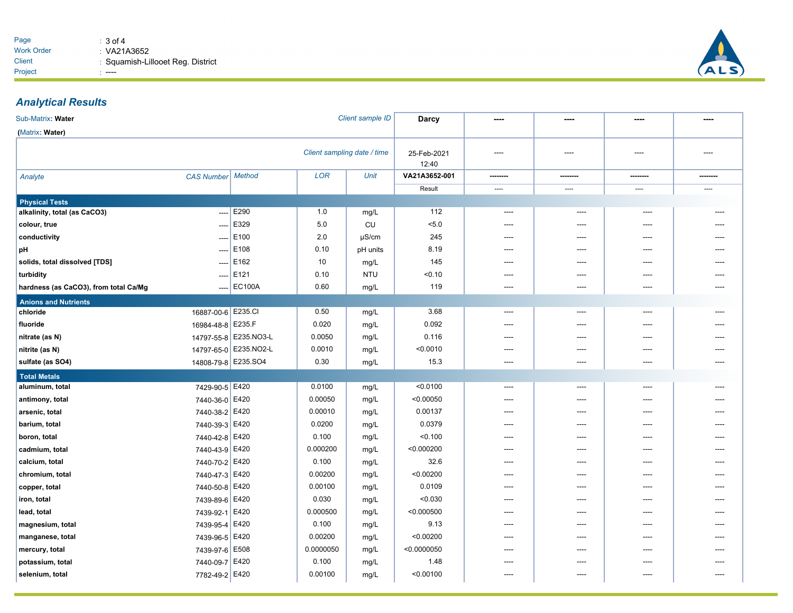

## *Analytical Results*

| Sub-Matrix: Water                     |                          |                       |            | Client sample ID     | <b>Darcy</b>  |                          |         |       |      |
|---------------------------------------|--------------------------|-----------------------|------------|----------------------|---------------|--------------------------|---------|-------|------|
| (Matrix: Water)                       |                          |                       |            |                      |               |                          |         |       |      |
| Client sampling date / time           |                          |                       |            | 25-Feb-2021<br>12:40 | ----          | ----                     | ----    | ----  |      |
| Analyte                               | <b>CAS Number</b>        | <b>Method</b>         | <b>LOR</b> | Unit                 | VA21A3652-001 |                          | ------- |       |      |
|                                       |                          |                       |            |                      | Result        | $\overline{\phantom{a}}$ | $---$   | ----  | ---- |
| <b>Physical Tests</b>                 |                          |                       |            |                      |               |                          |         |       |      |
| alkalinity, total (as CaCO3)          | $\overline{a}$           | E290                  | 1.0        | mg/L                 | 112           | ----                     | ----    | $---$ |      |
| colour, true                          | ----                     | E329                  | 5.0        | <b>CU</b>            | 5.0           | ----                     | ----    | ----  |      |
| conductivity                          | $\overline{\phantom{a}}$ | E100                  | 2.0        | $\mu$ S/cm           | 245           | ----                     | ----    | ----  |      |
| pH                                    | $\overline{\phantom{a}}$ | E108                  | 0.10       | pH units             | 8.19          | ----                     | ----    | ----  |      |
| solids, total dissolved [TDS]         | $\overline{\phantom{a}}$ | E162                  | 10         | mg/L                 | 145           | ----                     | ----    | ----  |      |
| turbidity                             | $\cdots$                 | E121                  | 0.10       | <b>NTU</b>           | < 0.10        | ----                     | ----    |       |      |
| hardness (as CaCO3), from total Ca/Mg | ----                     | <b>EC100A</b>         | 0.60       | mg/L                 | 119           | $---$                    | $---$   | $---$ | ---- |
| <b>Anions and Nutrients</b>           |                          |                       |            |                      |               |                          |         |       |      |
| chloride                              | 16887-00-6 E235.CI       |                       | 0.50       | mg/L                 | 3.68          | ----                     | ----    | ----  | ---- |
| fluoride                              | 16984-48-8 E235.F        |                       | 0.020      | mg/L                 | 0.092         | ----                     | ----    | ----  | ---- |
| nitrate (as N)                        |                          | 14797-55-8 E235.NO3-L | 0.0050     | mg/L                 | 0.116         |                          |         |       |      |
| nitrite (as N)                        |                          | 14797-65-0 E235.NO2-L | 0.0010     | mg/L                 | < 0.0010      |                          |         |       |      |
| sulfate (as SO4)                      | 14808-79-8 E235.SO4      |                       | 0.30       | mg/L                 | 15.3          | ----                     | ----    | ----  |      |
| <b>Total Metals</b>                   |                          |                       |            |                      |               |                          |         |       |      |
| aluminum, total                       | 7429-90-5 E420           |                       | 0.0100     | mg/L                 | < 0.0100      | ----                     | ----    | ----  |      |
| antimony, total                       | 7440-36-0 E420           |                       | 0.00050    | mg/L                 | < 0.00050     | $---$                    | ----    |       |      |
| arsenic, total                        | 7440-38-2 E420           |                       | 0.00010    | mg/L                 | 0.00137       | ----                     | ----    | ----  |      |
| barium, total                         | 7440-39-3 E420           |                       | 0.0200     | mg/L                 | 0.0379        | ----                     | ----    | ----  |      |
| boron, total                          | 7440-42-8 E420           |                       | 0.100      | mg/L                 | < 0.100       | ----                     | ----    | ----  |      |
| cadmium, total                        | 7440-43-9                | E420                  | 0.000200   | mg/L                 | < 0.000200    | ----                     | ----    | ----  |      |
| calcium, total                        | 7440-70-2 E420           |                       | 0.100      | mg/L                 | 32.6          | ----                     | ----    | ----  |      |
| chromium, total                       | 7440-47-3 E420           |                       | 0.00200    | mg/L                 | < 0.00200     | $---$                    | $---$   | $---$ | ---- |
| copper, total                         | 7440-50-8 E420           |                       | 0.00100    | mg/L                 | 0.0109        | ----                     | ----    | ----  |      |
| iron, total                           | 7439-89-6 E420           |                       | 0.030      | mg/L                 | < 0.030       | ----                     | ----    | ----  |      |
| lead, total                           | 7439-92-1 E420           |                       | 0.000500   | mg/L                 | < 0.000500    | ----                     | ----    | ----  | ---- |
| magnesium, total                      | 7439-95-4 E420           |                       | 0.100      | mg/L                 | 9.13          |                          |         |       |      |
| manganese, total                      | 7439-96-5 E420           |                       | 0.00200    | mg/L                 | < 0.00200     |                          |         |       |      |
| mercury, total                        | 7439-97-6                | E508                  | 0.0000050  | mg/L                 | < 0.0000050   |                          | ----    |       |      |
| potassium, total                      | 7440-09-7                | E420                  | 0.100      | mg/L                 | 1.48          | ----                     | ----    | ----  |      |
| selenium, total                       | 7782-49-2 E420           |                       | 0.00100    | mg/L                 | < 0.00100     | $---$                    | ----    | ----  |      |
|                                       |                          |                       |            |                      |               |                          |         |       |      |